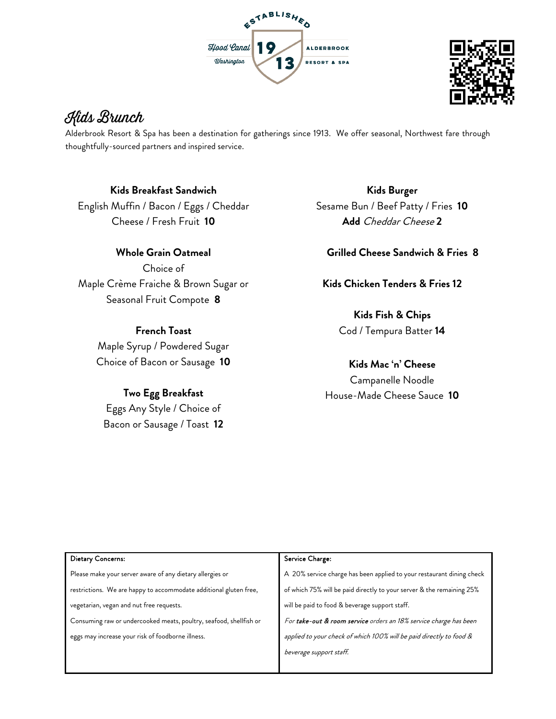



# Kids Brunch

Alderbrook Resort & Spa has been a destination for gatherings since 1913. We offer seasonal, Northwest fare through thoughtfully-sourced partners and inspired service.

#### **Kids Breakfast Sandwich**

English Muffin / Bacon / Eggs / Cheddar Cheese / Fresh Fruit **10**

## **Whole Grain Oatmeal**

Choice of Maple Crème Fraiche & Brown Sugar or Seasonal Fruit Compote **8**

### **French Toast**

Maple Syrup / Powdered Sugar Choice of Bacon or Sausage **10**

### **Two Egg Breakfast**

Eggs Any Style / Choice of Bacon or Sausage / Toast **12**

**Kids Burger**  Sesame Bun / Beef Patty / Fries **10 Add** Cheddar Cheese **2**

### **Grilled Cheese Sandwich & Fries 8**

**Kids Chicken Tenders & Fries 12**

**Kids Fish & Chips**  Cod / Tempura Batter **14**

**Kids Mac 'n' Cheese** Campanelle Noodle House-Made Cheese Sauce **10**

| Dietary Concerns:                                                  | Service Charge:                                                       |
|--------------------------------------------------------------------|-----------------------------------------------------------------------|
| Please make your server aware of any dietary allergies or          | A 20% service charge has been applied to your restaurant dining check |
| restrictions. We are happy to accommodate additional gluten free,  | of which 75% will be paid directly to your server & the remaining 25% |
| vegetarian, vegan and nut free requests.                           | will be paid to food & beverage support staff.                        |
| Consuming raw or undercooked meats, poultry, seafood, shellfish or | For take-out & room service orders an 18% service charge has been     |
| eggs may increase your risk of foodborne illness.                  | applied to your check of which 100% will be paid directly to food &   |
|                                                                    | beverage support staff.                                               |
|                                                                    |                                                                       |